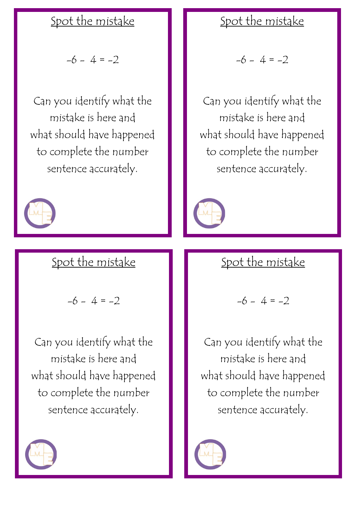## Spot the mistake

 $-6 - 4 = -2$ 

Can you identify what the mistake is here and what should have happened to complete the number sentence accurately.



## Spot the mistake

 $-6 - 4 = -2$ 

Can you identify what the mistake is here and what should have happened to complete the number sentence accurately.



## Spot the mistake

 $-6 - 4 = -2$ 

Can you identify what the mistake is here and what should have happened to complete the number sentence accurately.



# Spot the mistake

$$
-6 - 4 = -2
$$

Can you identify what the mistake is here and what should have happened to complete the number sentence accurately.